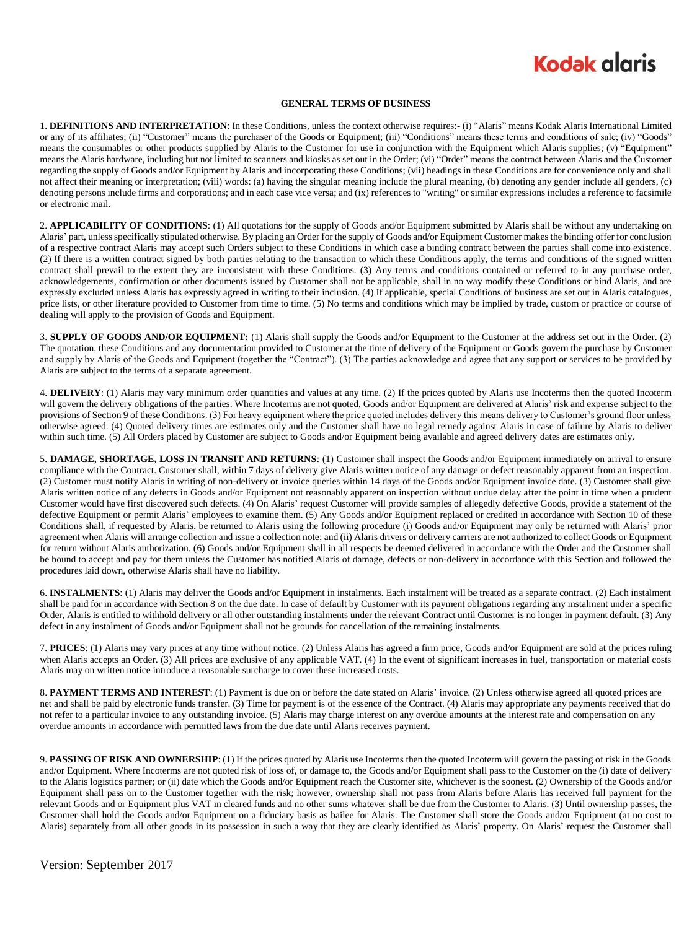## **Kodak alaris**

#### **GENERAL TERMS OF BUSINESS**

1. **DEFINITIONS AND INTERPRETATION**: In these Conditions, unless the context otherwise requires:- (i) "Alaris" means Kodak Alaris International Limited or any of its affiliates; (ii) "Customer" means the purchaser of the Goods or Equipment; (iii) "Conditions" means these terms and conditions of sale; (iv) "Goods" means the consumables or other products supplied by Alaris to the Customer for use in conjunction with the Equipment which Alaris supplies; (v) "Equipment" means the Alaris hardware, including but not limited to scanners and kiosks as set out in the Order; (vi) "Order" means the contract between Alaris and the Customer regarding the supply of Goods and/or Equipment by Alaris and incorporating these Conditions; (vii) headings in these Conditions are for convenience only and shall not affect their meaning or interpretation; (viii) words: (a) having the singular meaning include the plural meaning, (b) denoting any gender include all genders, (c) denoting persons include firms and corporations; and in each case vice versa; and (ix) references to "writing" or similar expressions includes a reference to facsimile or electronic mail.

2. **APPLICABILITY OF CONDITIONS**: (1) All quotations for the supply of Goods and/or Equipment submitted by Alaris shall be without any undertaking on Alaris' part, unless specifically stipulated otherwise. By placing an Order for the supply of Goods and/or Equipment Customer makes the binding offer for conclusion of a respective contract Alaris may accept such Orders subject to these Conditions in which case a binding contract between the parties shall come into existence. (2) If there is a written contract signed by both parties relating to the transaction to which these Conditions apply, the terms and conditions of the signed written contract shall prevail to the extent they are inconsistent with these Conditions. (3) Any terms and conditions contained or referred to in any purchase order, acknowledgements, confirmation or other documents issued by Customer shall not be applicable, shall in no way modify these Conditions or bind Alaris, and are expressly excluded unless Alaris has expressly agreed in writing to their inclusion. (4) If applicable, special Conditions of business are set out in Alaris catalogues, price lists, or other literature provided to Customer from time to time. (5) No terms and conditions which may be implied by trade, custom or practice or course of dealing will apply to the provision of Goods and Equipment.

3. **SUPPLY OF GOODS AND/OR EQUIPMENT:** (1) Alaris shall supply the Goods and/or Equipment to the Customer at the address set out in the Order. (2) The quotation, these Conditions and any documentation provided to Customer at the time of delivery of the Equipment or Goods govern the purchase by Customer and supply by Alaris of the Goods and Equipment (together the "Contract"). (3) The parties acknowledge and agree that any support or services to be provided by Alaris are subject to the terms of a separate agreement.

4. **DELIVERY**: (1) Alaris may vary minimum order quantities and values at any time. (2) If the prices quoted by Alaris use Incoterms then the quoted Incoterm will govern the delivery obligations of the parties. Where Incoterms are not quoted, Goods and/or Equipment are delivered at Alaris' risk and expense subject to the provisions of Section 9 of these Conditions. (3) For heavy equipment where the price quoted includes delivery this means delivery to Customer's ground floor unless otherwise agreed. (4) Quoted delivery times are estimates only and the Customer shall have no legal remedy against Alaris in case of failure by Alaris to deliver within such time. (5) All Orders placed by Customer are subject to Goods and/or Equipment being available and agreed delivery dates are estimates only.

5. **DAMAGE, SHORTAGE, LOSS IN TRANSIT AND RETURNS**: (1) Customer shall inspect the Goods and/or Equipment immediately on arrival to ensure compliance with the Contract. Customer shall, within 7 days of delivery give Alaris written notice of any damage or defect reasonably apparent from an inspection. (2) Customer must notify Alaris in writing of non-delivery or invoice queries within 14 days of the Goods and/or Equipment invoice date. (3) Customer shall give Alaris written notice of any defects in Goods and/or Equipment not reasonably apparent on inspection without undue delay after the point in time when a prudent Customer would have first discovered such defects. (4) On Alaris' request Customer will provide samples of allegedly defective Goods, provide a statement of the defective Equipment or permit Alaris' employees to examine them. (5) Any Goods and/or Equipment replaced or credited in accordance with Section 10 of these Conditions shall, if requested by Alaris, be returned to Alaris using the following procedure (i) Goods and/or Equipment may only be returned with Alaris' prior agreement when Alaris will arrange collection and issue a collection note; and (ii) Alaris drivers or delivery carriers are not authorized to collect Goods or Equipment for return without Alaris authorization. (6) Goods and/or Equipment shall in all respects be deemed delivered in accordance with the Order and the Customer shall be bound to accept and pay for them unless the Customer has notified Alaris of damage, defects or non-delivery in accordance with this Section and followed the procedures laid down, otherwise Alaris shall have no liability.

6. **INSTALMENTS**: (1) Alaris may deliver the Goods and/or Equipment in instalments. Each instalment will be treated as a separate contract. (2) Each instalment shall be paid for in accordance with Section 8 on the due date. In case of default by Customer with its payment obligations regarding any instalment under a specific Order, Alaris is entitled to withhold delivery or all other outstanding instalments under the relevant Contract until Customer is no longer in payment default. (3) Any defect in any instalment of Goods and/or Equipment shall not be grounds for cancellation of the remaining instalments.

7. **PRICES**: (1) Alaris may vary prices at any time without notice. (2) Unless Alaris has agreed a firm price, Goods and/or Equipment are sold at the prices ruling when Alaris accepts an Order. (3) All prices are exclusive of any applicable VAT. (4) In the event of significant increases in fuel, transportation or material costs Alaris may on written notice introduce a reasonable surcharge to cover these increased costs.

8. **PAYMENT TERMS AND INTEREST**: (1) Payment is due on or before the date stated on Alaris' invoice. (2) Unless otherwise agreed all quoted prices are net and shall be paid by electronic funds transfer. (3) Time for payment is of the essence of the Contract. (4) Alaris may appropriate any payments received that do not refer to a particular invoice to any outstanding invoice. (5) Alaris may charge interest on any overdue amounts at the interest rate and compensation on any overdue amounts in accordance with permitted laws from the due date until Alaris receives payment.

9. **PASSING OF RISK AND OWNERSHIP**: (1) If the prices quoted by Alaris use Incoterms then the quoted Incoterm will govern the passing of risk in the Goods and/or Equipment. Where Incoterms are not quoted risk of loss of, or damage to, the Goods and/or Equipment shall pass to the Customer on the (i) date of delivery to the Alaris logistics partner; or (ii) date which the Goods and/or Equipment reach the Customer site, whichever is the soonest. (2) Ownership of the Goods and/or Equipment shall pass on to the Customer together with the risk; however, ownership shall not pass from Alaris before Alaris has received full payment for the relevant Goods and or Equipment plus VAT in cleared funds and no other sums whatever shall be due from the Customer to Alaris. (3) Until ownership passes, the Customer shall hold the Goods and/or Equipment on a fiduciary basis as bailee for Alaris. The Customer shall store the Goods and/or Equipment (at no cost to Alaris) separately from all other goods in its possession in such a way that they are clearly identified as Alaris' property. On Alaris' request the Customer shall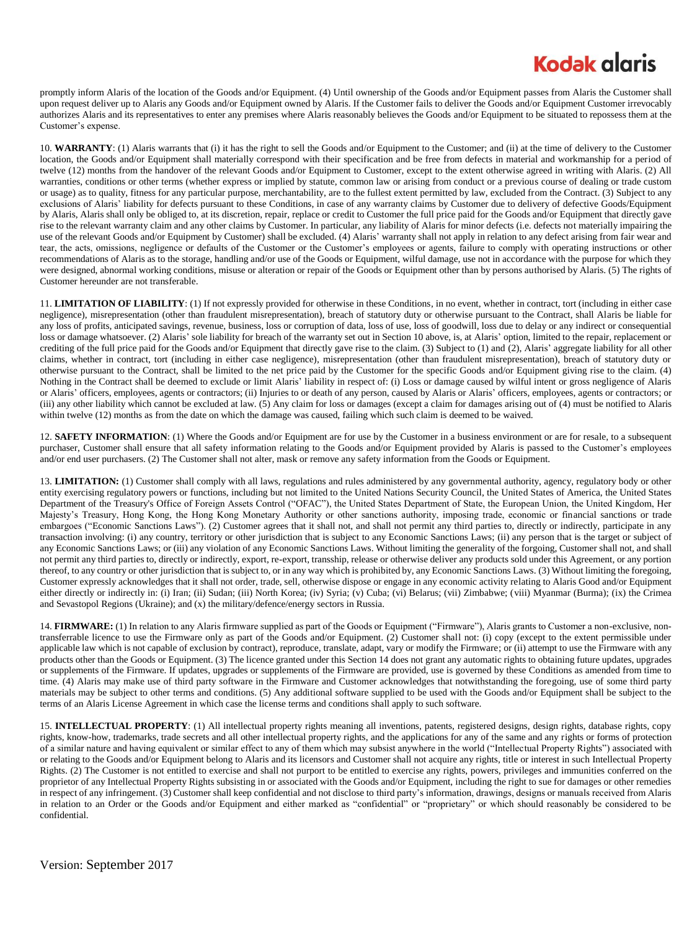# **Kodak glgris**

promptly inform Alaris of the location of the Goods and/or Equipment. (4) Until ownership of the Goods and/or Equipment passes from Alaris the Customer shall upon request deliver up to Alaris any Goods and/or Equipment owned by Alaris. If the Customer fails to deliver the Goods and/or Equipment Customer irrevocably authorizes Alaris and its representatives to enter any premises where Alaris reasonably believes the Goods and/or Equipment to be situated to repossess them at the Customer's expense.

10. **WARRANTY**: (1) Alaris warrants that (i) it has the right to sell the Goods and/or Equipment to the Customer; and (ii) at the time of delivery to the Customer location, the Goods and/or Equipment shall materially correspond with their specification and be free from defects in material and workmanship for a period of twelve (12) months from the handover of the relevant Goods and/or Equipment to Customer, except to the extent otherwise agreed in writing with Alaris. (2) All warranties, conditions or other terms (whether express or implied by statute, common law or arising from conduct or a previous course of dealing or trade custom or usage) as to quality, fitness for any particular purpose, merchantability, are to the fullest extent permitted by law, excluded from the Contract. (3) Subject to any exclusions of Alaris' liability for defects pursuant to these Conditions, in case of any warranty claims by Customer due to delivery of defective Goods/Equipment by Alaris, Alaris shall only be obliged to, at its discretion, repair, replace or credit to Customer the full price paid for the Goods and/or Equipment that directly gave rise to the relevant warranty claim and any other claims by Customer. In particular, any liability of Alaris for minor defects (i.e. defects not materially impairing the use of the relevant Goods and/or Equipment by Customer) shall be excluded. (4) Alaris' warranty shall not apply in relation to any defect arising from fair wear and tear, the acts, omissions, negligence or defaults of the Customer or the Customer's employees or agents, failure to comply with operating instructions or other recommendations of Alaris as to the storage, handling and/or use of the Goods or Equipment, wilful damage, use not in accordance with the purpose for which they were designed, abnormal working conditions, misuse or alteration or repair of the Goods or Equipment other than by persons authorised by Alaris. (5) The rights of Customer hereunder are not transferable.

11. **LIMITATION OF LIABILITY**: (1) If not expressly provided for otherwise in these Conditions, in no event, whether in contract, tort (including in either case negligence), misrepresentation (other than fraudulent misrepresentation), breach of statutory duty or otherwise pursuant to the Contract, shall Alaris be liable for any loss of profits, anticipated savings, revenue, business, loss or corruption of data, loss of use, loss of goodwill, loss due to delay or any indirect or consequential loss or damage whatsoever. (2) Alaris' sole liability for breach of the warranty set out in Section 10 above, is, at Alaris' option, limited to the repair, replacement or crediting of the full price paid for the Goods and/or Equipment that directly gave rise to the claim. (3) Subject to (1) and (2), Alaris' aggregate liability for all other claims, whether in contract, tort (including in either case negligence), misrepresentation (other than fraudulent misrepresentation), breach of statutory duty or otherwise pursuant to the Contract, shall be limited to the net price paid by the Customer for the specific Goods and/or Equipment giving rise to the claim. (4) Nothing in the Contract shall be deemed to exclude or limit Alaris' liability in respect of: (i) Loss or damage caused by wilful intent or gross negligence of Alaris or Alaris' officers, employees, agents or contractors; (ii) Injuries to or death of any person, caused by Alaris or Alaris' officers, employees, agents or contractors; or (iii) any other liability which cannot be excluded at law. (5) Any claim for loss or damages (except a claim for damages arising out of (4) must be notified to Alaris within twelve (12) months as from the date on which the damage was caused, failing which such claim is deemed to be waived.

12. **SAFETY INFORMATION**: (1) Where the Goods and/or Equipment are for use by the Customer in a business environment or are for resale, to a subsequent purchaser, Customer shall ensure that all safety information relating to the Goods and/or Equipment provided by Alaris is passed to the Customer's employees and/or end user purchasers. (2) The Customer shall not alter, mask or remove any safety information from the Goods or Equipment.

13. **LIMITATION:** (1) Customer shall comply with all laws, regulations and rules administered by any governmental authority, agency, regulatory body or other entity exercising regulatory powers or functions, including but not limited to the United Nations Security Council, the United States of America, the United States Department of the Treasury's Office of Foreign Assets Control ("OFAC"), the United States Department of State, the European Union, the United Kingdom, Her Majesty's Treasury, Hong Kong, the Hong Kong Monetary Authority or other sanctions authority, imposing trade, economic or financial sanctions or trade embargoes ("Economic Sanctions Laws"). (2) Customer agrees that it shall not, and shall not permit any third parties to, directly or indirectly, participate in any transaction involving: (i) any country, territory or other jurisdiction that is subject to any Economic Sanctions Laws; (ii) any person that is the target or subject of any Economic Sanctions Laws; or (iii) any violation of any Economic Sanctions Laws. Without limiting the generality of the forgoing, Customer shall not, and shall not permit any third parties to, directly or indirectly, export, re-export, transship, release or otherwise deliver any products sold under this Agreement, or any portion thereof, to any country or other jurisdiction that is subject to, or in any way which is prohibited by, any Economic Sanctions Laws. (3) Without limiting the foregoing, Customer expressly acknowledges that it shall not order, trade, sell, otherwise dispose or engage in any economic activity relating to Alaris Good and/or Equipment either directly or indirectly in: (i) Iran; (ii) Sudan; (iii) North Korea; (iv) Syria; (v) Cuba; (vi) Belarus; (vii) Zimbabwe; (viii) Myanmar (Burma); (ix) the Crimea and Sevastopol Regions (Ukraine); and (x) the military/defence/energy sectors in Russia.

14. **FIRMWARE:** (1) In relation to any Alaris firmware supplied as part of the Goods or Equipment ("Firmware"), Alaris grants to Customer a non-exclusive, nontransferrable licence to use the Firmware only as part of the Goods and/or Equipment. (2) Customer shall not: (i) copy (except to the extent permissible under applicable law which is not capable of exclusion by contract), reproduce, translate, adapt, vary or modify the Firmware; or (ii) attempt to use the Firmware with any products other than the Goods or Equipment. (3) The licence granted under this Section 14 does not grant any automatic rights to obtaining future updates, upgrades or supplements of the Firmware. If updates, upgrades or supplements of the Firmware are provided, use is governed by these Conditions as amended from time to time. (4) Alaris may make use of third party software in the Firmware and Customer acknowledges that notwithstanding the foregoing, use of some third party materials may be subject to other terms and conditions. (5) Any additional software supplied to be used with the Goods and/or Equipment shall be subject to the terms of an Alaris License Agreement in which case the license terms and conditions shall apply to such software.

15. **INTELLECTUAL PROPERTY**: (1) All intellectual property rights meaning all inventions, patents, registered designs, design rights, database rights, copy rights, know-how, trademarks, trade secrets and all other intellectual property rights, and the applications for any of the same and any rights or forms of protection of a similar nature and having equivalent or similar effect to any of them which may subsist anywhere in the world ("Intellectual Property Rights") associated with or relating to the Goods and/or Equipment belong to Alaris and its licensors and Customer shall not acquire any rights, title or interest in such Intellectual Property Rights. (2) The Customer is not entitled to exercise and shall not purport to be entitled to exercise any rights, powers, privileges and immunities conferred on the proprietor of any Intellectual Property Rights subsisting in or associated with the Goods and/or Equipment, including the right to sue for damages or other remedies in respect of any infringement. (3) Customer shall keep confidential and not disclose to third party's information, drawings, designs or manuals received from Alaris in relation to an Order or the Goods and/or Equipment and either marked as "confidential" or "proprietary" or which should reasonably be considered to be confidential.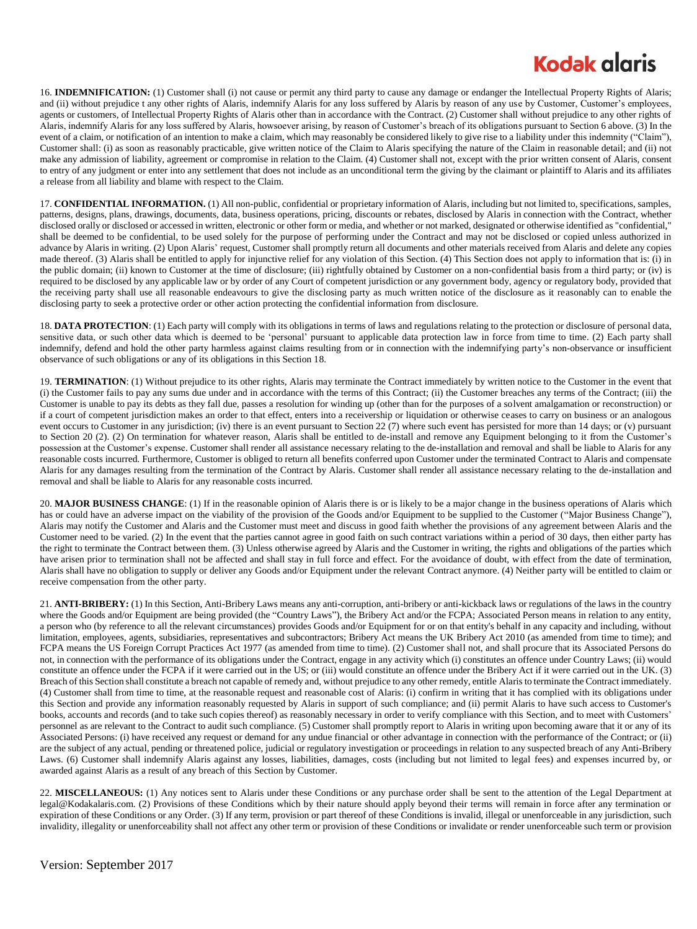## **Kodak glgris**

16. **INDEMNIFICATION:** (1) Customer shall (i) not cause or permit any third party to cause any damage or endanger the Intellectual Property Rights of Alaris; and (ii) without prejudice t any other rights of Alaris, indemnify Alaris for any loss suffered by Alaris by reason of any use by Customer, Customer's employees, agents or customers, of Intellectual Property Rights of Alaris other than in accordance with the Contract. (2) Customer shall without prejudice to any other rights of Alaris, indemnify Alaris for any loss suffered by Alaris, howsoever arising, by reason of Customer's breach of its obligations pursuant to Section 6 above. (3) In the event of a claim, or notification of an intention to make a claim, which may reasonably be considered likely to give rise to a liability under this indemnity ("Claim"), Customer shall: (i) as soon as reasonably practicable, give written notice of the Claim to Alaris specifying the nature of the Claim in reasonable detail; and (ii) not make any admission of liability, agreement or compromise in relation to the Claim. (4) Customer shall not, except with the prior written consent of Alaris, consent to entry of any judgment or enter into any settlement that does not include as an unconditional term the giving by the claimant or plaintiff to Alaris and its affiliates a release from all liability and blame with respect to the Claim.

17. **CONFIDENTIAL INFORMATION.** (1) All non-public, confidential or proprietary information of Alaris, including but not limited to, specifications, samples, patterns, designs, plans, drawings, documents, data, business operations, pricing, discounts or rebates, disclosed by Alaris in connection with the Contract, whether disclosed orally or disclosed or accessed in written, electronic or other form or media, and whether or not marked, designated or otherwise identified as "confidential," shall be deemed to be confidential, to be used solely for the purpose of performing under the Contract and may not be disclosed or copied unless authorized in advance by Alaris in writing. (2) Upon Alaris' request, Customer shall promptly return all documents and other materials received from Alaris and delete any copies made thereof. (3) Alaris shall be entitled to apply for injunctive relief for any violation of this Section. (4) This Section does not apply to information that is: (i) in the public domain; (ii) known to Customer at the time of disclosure; (iii) rightfully obtained by Customer on a non-confidential basis from a third party; or (iv) is required to be disclosed by any applicable law or by order of any Court of competent jurisdiction or any government body, agency or regulatory body, provided that the receiving party shall use all reasonable endeavours to give the disclosing party as much written notice of the disclosure as it reasonably can to enable the disclosing party to seek a protective order or other action protecting the confidential information from disclosure.

18. **DATA PROTECTION**: (1) Each party will comply with its obligations in terms of laws and regulations relating to the protection or disclosure of personal data, sensitive data, or such other data which is deemed to be 'personal' pursuant to applicable data protection law in force from time to time. (2) Each party shall indemnify, defend and hold the other party harmless against claims resulting from or in connection with the indemnifying party's non-observance or insufficient observance of such obligations or any of its obligations in this Section 18.

19. **TERMINATION**: (1) Without prejudice to its other rights, Alaris may terminate the Contract immediately by written notice to the Customer in the event that (i) the Customer fails to pay any sums due under and in accordance with the terms of this Contract; (ii) the Customer breaches any terms of the Contract; (iii) the Customer is unable to pay its debts as they fall due, passes a resolution for winding up (other than for the purposes of a solvent amalgamation or reconstruction) or if a court of competent jurisdiction makes an order to that effect, enters into a receivership or liquidation or otherwise ceases to carry on business or an analogous event occurs to Customer in any jurisdiction; (iv) there is an event pursuant to Section 22 (7) where such event has persisted for more than 14 days; or (v) pursuant to Section 20 (2). (2) On termination for whatever reason, Alaris shall be entitled to de-install and remove any Equipment belonging to it from the Customer's possession at the Customer's expense. Customer shall render all assistance necessary relating to the de-installation and removal and shall be liable to Alaris for any reasonable costs incurred. Furthermore, Customer is obliged to return all benefits conferred upon Customer under the terminated Contract to Alaris and compensate Alaris for any damages resulting from the termination of the Contract by Alaris. Customer shall render all assistance necessary relating to the de-installation and removal and shall be liable to Alaris for any reasonable costs incurred.

20. MAJOR BUSINESS CHANGE: (1) If in the reasonable opinion of Alaris there is or is likely to be a major change in the business operations of Alaris which has or could have an adverse impact on the viability of the provision of the Goods and/or Equipment to be supplied to the Customer ("Major Business Change"), Alaris may notify the Customer and Alaris and the Customer must meet and discuss in good faith whether the provisions of any agreement between Alaris and the Customer need to be varied. (2) In the event that the parties cannot agree in good faith on such contract variations within a period of 30 days, then either party has the right to terminate the Contract between them. (3) Unless otherwise agreed by Alaris and the Customer in writing, the rights and obligations of the parties which have arisen prior to termination shall not be affected and shall stay in full force and effect. For the avoidance of doubt, with effect from the date of termination, Alaris shall have no obligation to supply or deliver any Goods and/or Equipment under the relevant Contract anymore. (4) Neither party will be entitled to claim or receive compensation from the other party.

21. **ANTI-BRIBERY:** (1) In this Section, Anti-Bribery Laws means any anti-corruption, anti-bribery or anti-kickback laws or regulations of the laws in the country where the Goods and/or Equipment are being provided (the "Country Laws"), the Bribery Act and/or the FCPA; Associated Person means in relation to any entity, a person who (by reference to all the relevant circumstances) provides Goods and/or Equipment for or on that entity's behalf in any capacity and including, without limitation, employees, agents, subsidiaries, representatives and subcontractors; Bribery Act means the UK Bribery Act 2010 (as amended from time to time); and FCPA means the US Foreign Corrupt Practices Act 1977 (as amended from time to time). (2) Customer shall not, and shall procure that its Associated Persons do not, in connection with the performance of its obligations under the Contract, engage in any activity which (i) constitutes an offence under Country Laws; (ii) would constitute an offence under the FCPA if it were carried out in the US; or (iii) would constitute an offence under the Bribery Act if it were carried out in the UK. (3) Breach of this Section shall constitute a breach not capable of remedy and, without prejudice to any other remedy, entitle Alaris to terminate the Contract immediately. (4) Customer shall from time to time, at the reasonable request and reasonable cost of Alaris: (i) confirm in writing that it has complied with its obligations under this Section and provide any information reasonably requested by Alaris in support of such compliance; and (ii) permit Alaris to have such access to Customer's books, accounts and records (and to take such copies thereof) as reasonably necessary in order to verify compliance with this Section, and to meet with Customers' personnel as are relevant to the Contract to audit such compliance. (5) Customer shall promptly report to Alaris in writing upon becoming aware that it or any of its Associated Persons: (i) have received any request or demand for any undue financial or other advantage in connection with the performance of the Contract; or (ii) are the subject of any actual, pending or threatened police, judicial or regulatory investigation or proceedings in relation to any suspected breach of any Anti-Bribery Laws. (6) Customer shall indemnify Alaris against any losses, liabilities, damages, costs (including but not limited to legal fees) and expenses incurred by, or awarded against Alaris as a result of any breach of this Section by Customer.

22. **MISCELLANEOUS:** (1) Any notices sent to Alaris under these Conditions or any purchase order shall be sent to the attention of the Legal Department at legal@Kodakalaris.com. (2) Provisions of these Conditions which by their nature should apply beyond their terms will remain in force after any termination or expiration of these Conditions or any Order. (3) If any term, provision or part thereof of these Conditions is invalid, illegal or unenforceable in any jurisdiction, such invalidity, illegality or unenforceability shall not affect any other term or provision of these Conditions or invalidate or render unenforceable such term or provision